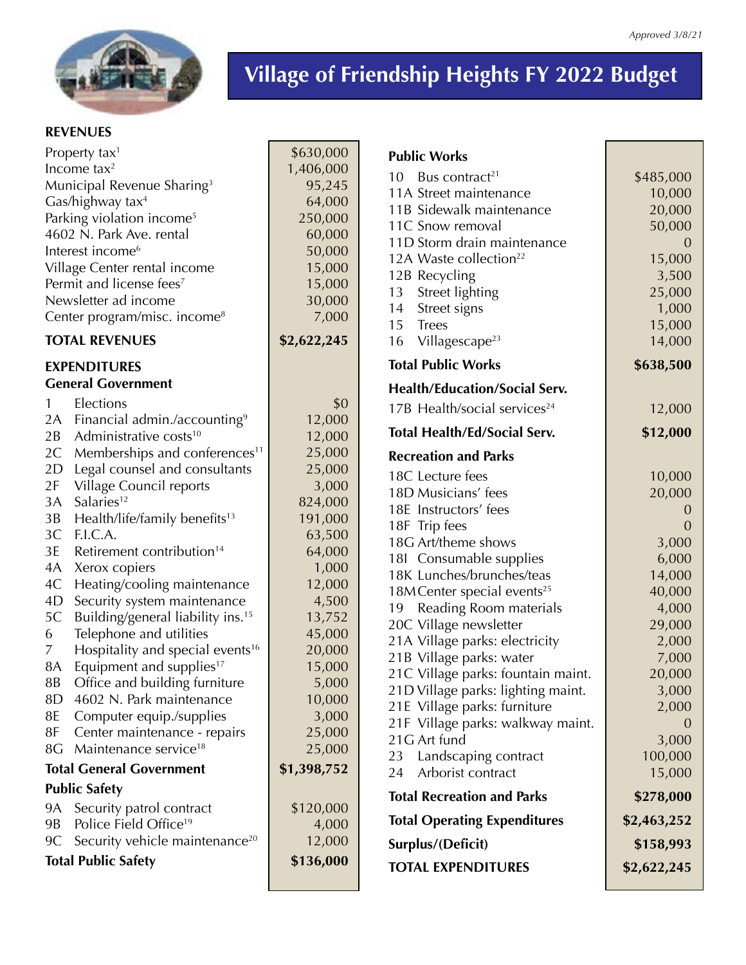

*Approved 3/8/21*

## **REVENUES**

| Property tax <sup>1</sup>                |                                               | \$630,000   |           |
|------------------------------------------|-----------------------------------------------|-------------|-----------|
| Income tax $2$                           |                                               | 1,406,000   | Pu        |
| Municipal Revenue Sharing <sup>3</sup>   |                                               | 95,245      | 10        |
| Gas/highway tax <sup>4</sup>             |                                               | 64,000      | 11        |
| Parking violation income <sup>5</sup>    |                                               | 250,000     | 11        |
| 4602 N. Park Ave. rental                 |                                               | 60,000      | 11        |
| Interest income <sup>6</sup>             |                                               | 50,000      | 11        |
| Village Center rental income             |                                               | 15,000      | 12        |
| Permit and license fees <sup>7</sup>     |                                               | 15,000      | 12        |
| Newsletter ad income                     |                                               | 30,000      | 13        |
| Center program/misc. income <sup>8</sup> |                                               | 7,000       | 14<br>15  |
| <b>TOTAL REVENUES</b>                    |                                               | \$2,622,245 | 16        |
| <b>EXPENDITURES</b>                      |                                               |             | Tot       |
|                                          | <b>General Government</b>                     |             | He        |
| 1                                        | Elections                                     | \$0         | 17        |
|                                          | 2A Financial admin./accounting <sup>9</sup>   | 12,000      |           |
| 2B                                       | Administrative costs <sup>10</sup>            | 12,000      | Tot       |
| 2C                                       | Memberships and conferences <sup>11</sup>     | 25,000      | Re        |
| 2D                                       | Legal counsel and consultants                 | 25,000      | 18        |
| 2F                                       | Village Council reports                       | 3,000       | 18        |
| 3A                                       | Salaries <sup>12</sup>                        | 824,000     | 18        |
| 3B                                       | Health/life/family benefits <sup>13</sup>     | 191,000     | 18        |
| 3C                                       | F.I.C.A.                                      | 63,500      | 18        |
| 3E                                       | Retirement contribution <sup>14</sup>         | 64,000      | 18        |
| 4A                                       | Xerox copiers                                 | 1,000       | 18        |
| 4C                                       | Heating/cooling maintenance                   | 12,000      | 18        |
| 4D                                       | Security system maintenance                   | 4,500       | 19        |
| 5C                                       | Building/general liability ins. <sup>15</sup> | 13,752      | 20        |
| 6                                        | Telephone and utilities                       | 45,000      | 21.       |
| 7                                        | Hospitality and special events <sup>16</sup>  | 20,000      | 21        |
| 8A                                       | Equipment and supplies <sup>17</sup>          | 15,000      | 21        |
| 8B                                       | Office and building furniture                 | 5,000       | 21        |
| 8D                                       | 4602 N. Park maintenance                      | 10,000      | 21        |
| 8E                                       | Computer equip./supplies                      | 3,000       | 21        |
| 8F                                       | Center maintenance - repairs                  | 25,000      | 21        |
| 8G                                       | Maintenance service <sup>18</sup>             | 25,000      | 23        |
| <b>Total General Government</b>          |                                               | \$1,398,752 | 24        |
| <b>Public Safety</b>                     |                                               |             | Tot       |
| <b>9A</b>                                | Security patrol contract                      | \$120,000   |           |
| 9B                                       | Police Field Office <sup>19</sup>             | 4,000       | Tot       |
| 9C                                       | Security vehicle maintenance <sup>20</sup>    | 12,000      | Su        |
| <b>Total Public Safety</b>               |                                               | \$136,000   | <b>TO</b> |
|                                          |                                               |             |           |

| <b>Public Works</b>                                    |                  |
|--------------------------------------------------------|------------------|
| 10<br>Bus contract <sup>21</sup>                       | \$485,000        |
| 11A Street maintenance                                 | 10,000           |
| 11B Sidewalk maintenance                               | 20,000           |
| 11C Snow removal                                       | 50,000           |
| 11D Storm drain maintenance                            | $\Omega$         |
| 12A Waste collection <sup>22</sup>                     | 15,000           |
| 12B Recycling                                          | 3,500            |
| 13 Street lighting                                     | 25,000           |
| 14 Street signs                                        | 1,000            |
| 15 Trees<br>16 Villagescape <sup>23</sup>              | 15,000<br>14,000 |
|                                                        |                  |
| <b>Total Public Works</b>                              | \$638,500        |
| <b>Health/Education/Social Serv.</b>                   |                  |
| 17B Health/social services <sup>24</sup>               | 12,000           |
| <b>Total Health/Ed/Social Serv.</b>                    | \$12,000         |
| <b>Recreation and Parks</b>                            |                  |
| 18C Lecture fees                                       | 10,000           |
| 18D Musicians' fees                                    | 20,000           |
| 18E Instructors' fees                                  | $\overline{0}$   |
| 18F Trip fees                                          | $\overline{0}$   |
| 18G Art/theme shows                                    | 3,000            |
| 181 Consumable supplies                                | 6,000            |
| 18K Lunches/brunches/teas                              | 14,000           |
| 18M Center special events <sup>25</sup>                | 40,000           |
| Reading Room materials<br>19<br>20C Village newsletter | 4,000<br>29,000  |
| 21A Village parks: electricity                         | 2,000            |
| 21B Village parks: water                               | 7,000            |
| 21C Village parks: fountain maint.                     | 20,000           |
| 21D Village parks: lighting maint.                     | 3,000            |
| 21E Village parks: furniture                           | 2,000            |
| 21F Village parks: walkway maint.                      | $\overline{0}$   |
| 21G Art fund                                           | 3,000            |
| Landscaping contract<br>23                             | 100,000          |
| Arborist contract<br>24                                | 15,000           |
| <b>Total Recreation and Parks</b>                      | \$278,000        |
| <b>Total Operating Expenditures</b>                    | \$2,463,252      |
| Surplus/(Deficit)                                      | \$158,993        |
| <b>TOTAL EXPENDITURES</b>                              | \$2,622,245      |
|                                                        |                  |